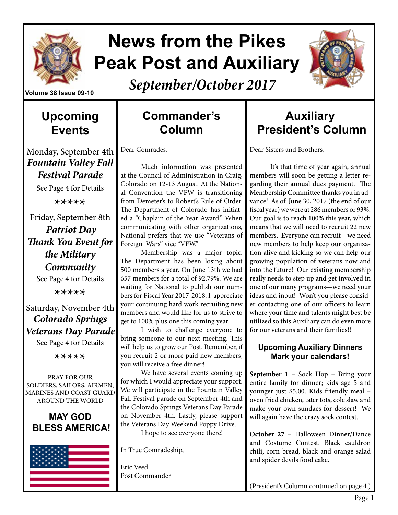

# **News from the Pikes Peak Post and Auxiliary**



*September/October 2017*

#### **Upcoming Events**

Monday, September 4th *Fountain Valley Fall Festival Parade* 

See Page 4 for Details

\*\*\*\*\*

Friday, September 8th *Patriot Day Thank You Event for the Military Community* See Page 4 for Details

\*\*\*\*\*

Saturday, November 4th *Colorado Springs Veterans Day Parade*  See Page 4 for Details

\*\*\*\*\*

PRAY FOR OUR SOLDIERS, SAILORS, AIRMEN, MARINES AND COAST GUARD AROUND THE WORLD

#### **MAY GOD BLESS AMERICA!**



### **Commander's Column**

Dear Comrades,

Much information was presented at the Council of Administration in Craig, Colorado on 12-13 August. At the National Convention the VFW is transitioning from Demeter's to Robert's Rule of Order. The Department of Colorado has initiated a "Chaplain of the Year Award." When communicating with other organizations, National prefers that we use "Veterans of Foreign Wars" vice "VFW."

Membership was a major topic. The Department has been losing about 500 members a year. On June 13th we had 657 members for a total of 92.79%. We are waiting for National to publish our numbers for Fiscal Year 2017-2018. I appreciate your continuing hard work recruiting new members and would like for us to strive to get to 100% plus one this coming year.

I wish to challenge everyone to bring someone to our next meeting. This will help us to grow our Post. Remember, if you recruit 2 or more paid new members, you will receive a free dinner!

We have several events coming up for which I would appreciate your support. We will participate in the Fountain Valley Fall Festival parade on September 4th and the Colorado Springs Veterans Day Parade on November 4th. Lastly, please support the Veterans Day Weekend Poppy Drive.

I hope to see everyone there!

In True Comradeship,

Eric Veed Post Commander

### **Auxiliary President's Column**

Dear Sisters and Brothers,

It's that time of year again, annual members will soon be getting a letter regarding their annual dues payment. The Membership Committee thanks you in advance! As of June 30, 2017 (the end of our fiscal year) we were at 286 members or 93%. Our goal is to reach 100% this year, which means that we will need to recruit 22 new members. Everyone can recruit—we need new members to help keep our organization alive and kicking so we can help our growing population of veterans now and into the future! Our existing membership really needs to step up and get involved in one of our many programs—we need your ideas and input! Won't you please consider contacting one of our officers to learn where your time and talents might best be utilized so this Auxiliary can do even more for our veterans and their families!!

#### **Upcoming Auxiliary Dinners Mark your calendars!**

**September 1** – Sock Hop – Bring your entire family for dinner; kids age 5 and younger just \$5.00. Kids friendly meal – oven fried chicken, tater tots, cole slaw and make your own sundaes for dessert! We will again have the crazy sock contest.

**October 27** – Halloween Dinner/Dance and Costume Contest. Black cauldron chili, corn bread, black and orange salad and spider devils food cake.

(President's Column continued on page 4.)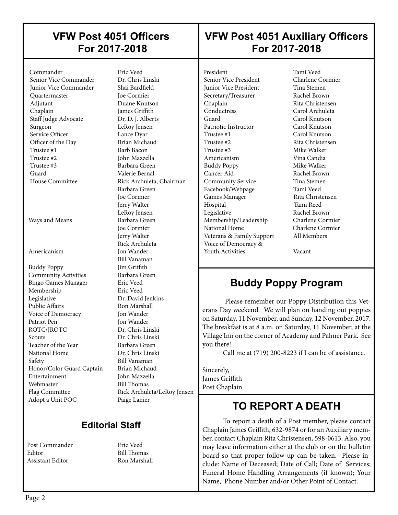#### **VFW Post 4051 Officers For 2017-2018**

#### **VFW Post 4051 Auxiliary Officers For 2017-2018**

 Commander Eric Veed Senior Vice Commander Junior Vice Commander Shai Bardfield Quartermaster Joe Cormier Adjutant Duane Knutson Chaplain James Griffith Staff Judge Advocate Dr. D. J. Alberts Surgeon LeRoy Jensen Service Officer Lance Dyar Officer of the Day Brian Michaud<br>Trustee #1 Barb Bacon Trustee #1 Barb Bacon<br>Trustee #2 Iohn Mazzel Trustee #3 Barbara Green Guard Valerie Bernal House Committee Rick Archuleta, Chairman

 $\overline{\phantom{a}}$ 

Ways and Means Barbara Green

Buddy Poppy Jim Griffith **Community Activities** Barbara Green Bingo Games Manager Eric Veed Membership Eric Veed Legislative Dr. David Jenkins Public Affairs **Ron Marshall** Voice of Democracy Jon Wander Patriot Pen Jon Wander<br>ROTC/IROTC Dr. Chris Lii Scouts Dr. Chris Linski Teacher of the Year Barbara Green National Home Dr. Chris Linski Safety Bill Vanaman<br>Honor/Color Guard Captain Brian Michaud Honor/Color Guard Captain Entertainment John Mazzella Webmaster Bill Thomas Flag Committee Rick Archuleta/LeRoy Jensen Adopt a Unit POC Paige Lanier

**John Mazzella**  Barbara Green Joe Cormier Jerry Walter LeRoy Jensen Joe Cormier Jerry Walter Rick Archuleta Americanism Jon Wander Bill Vanaman Dr. Chris Linski

#### **Editorial Staff**

Post Commander Fric Veed Editor Bill Thomas Assistant Editor Ron Marshall

President Tami Veed<br>
Senior Vice President Charlene Cormier Senior Vice President **Junior Vice President Tina Stemen** Secretary/Treasurer Rachel Brown Chaplain Rita Christensen<br>
Carol Archuleta<br>
Carol Archuleta Guard Carol Knutson<br>
Patriotic Instructor Carol Knutson Patriotic Instructor Trustee #1 Carol Knutson Trustee #2 Rita Christensen Trustee #3 Mike Walker<br>Americanism Vina Candia Americanism Buddy Poppy Mike Walker Cancer Aid Rachel Brown Community Service Tina Stemen Facebook/Webpage Tami Veed Games Manager Hospital Tami Reed Legislative Rachel Brown Membership/Leadership Charlene Cormier National Home Charlene Cormier Veterans & Family Support All Members Voice of Democracy & Youth Activities **Vacant** 

 $\overline{\phantom{a}}$ 

 $\overline{\phantom{a}}$ 

Carol Archuleta

#### **Buddy Poppy Program**

 Please remember our Poppy Distribution this Veterans Day weekend. We will plan on handing out poppies on Saturday, 11 November, and Sunday, 12 November, 2017. The breakfast is at 8 a.m. on Saturday, 11 November, at the Village Inn on the corner of Academy and Palmer Park. See you there!

Call me at (719) 200-8223 if I can be of assistance.

Sincerely, James Griffith Post Chaplain

#### **TO REPORT A DEATH**

To report a death of a Post member, please contact Chaplain James Griffith, 632-9874 or for an Auxiliary member, contact Chaplain Rita Christensen, 598-0613. Also, you may leave information either at the club or on the bulletin board so that proper follow-up can be taken. Please include: Name of Deceased; Date of Call; Date of Services; Funeral Home Handling Arrangements (if known); Your Name, Phone Number and/or Other Point of Contact.

 $\overline{\phantom{a}}$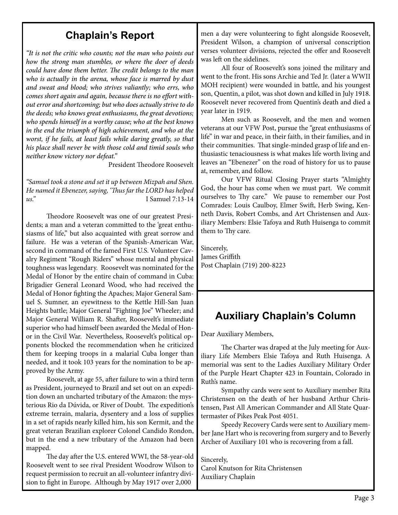#### **Chaplain's Report**

*"It is not the critic who counts; not the man who points out how the strong man stumbles, or where the doer of deeds could have done them better. The credit belongs to the man who is actually in the arena, whose face is marred by dust and sweat and blood; who strives valiantly; who errs, who comes short again and again, because there is no effort without error and shortcoming; but who does actually strive to do the deeds; who knows great enthusiasms, the great devotions; who spends himself in a worthy cause; who at the best knows in the end the triumph of high achievement, and who at the worst, if he fails, at least fails while daring greatly, so that his place shall never be with those cold and timid souls who neither know victory nor defeat."* 

President Theodore Roosevelt

*"Samuel took a stone and set it up between Mizpah and Shen. He named it Ebenezer, saying, 'Thus far the LORD has helped us."* I Samuel 7:13-14

Theodore Roosevelt was one of our greatest Presidents; a man and a veteran committed to the 'great enthusiasms of life," but also acquainted with great sorrow and failure. He was a veteran of the Spanish-American War, second in command of the famed First U.S. Volunteer Cavalry Regiment "Rough Riders" whose mental and physical toughness was legendary. Roosevelt was nominated for the Medal of Honor by the entire chain of command in Cuba: Brigadier General Leonard Wood, who had received the Medal of Honor fighting the Apaches; Major General Samuel S. Sumner, an eyewitness to the Kettle Hill-San Juan Heights battle; Major General "Fighting Joe" Wheeler; and Major General William R. Shafter, Roosevelt's immediate superior who had himself been awarded the Medal of Honor in the Civil War. Nevertheless, Roosevelt's political opponents blocked the recommendation when he criticized them for keeping troops in a malarial Cuba longer than needed, and it took 103 years for the nomination to be approved by the Army.

Roosevelt, at age 55, after failure to win a third term as President, journeyed to Brazil and set out on an expedition down an uncharted tributary of the Amazon: the mysterious Rio da Dúvida, or River of Doubt. The expedition's extreme terrain, malaria, dysentery and a loss of supplies in a set of rapids nearly killed him, his son Kermit, and the great veteran Brazilian explorer Colonel Candido Rondon, but in the end a new tributary of the Amazon had been mapped.

The day after the U.S. entered WWI, the 58-year-old Roosevelt went to see rival President Woodrow Wilson to request permission to recruit an all-volunteer infantry division to fight in Europe. Although by May 1917 over 2,000

men a day were volunteering to fight alongside Roosevelt, President Wilson, a champion of universal conscription verses volunteer divisions, rejected the offer and Roosevelt was left on the sidelines.

All four of Roosevelt's sons joined the military and went to the front. His sons Archie and Ted Jr. (later a WWII MOH recipient) were wounded in battle, and his youngest son, Quentin, a pilot, was shot down and killed in July 1918. Roosevelt never recovered from Quentin's death and died a year later in 1919.

Men such as Roosevelt, and the men and women veterans at our VFW Post, pursue the "great enthusiasms of life" in war and peace, in their faith, in their families, and in their communities. That single-minded grasp of life and enthusiastic tenaciousness is what makes life worth living and leaves an "Ebenezer" on the road of history for us to pause at, remember, and follow.

Our VFW Ritual Closing Prayer starts "Almighty God, the hour has come when we must part. We commit ourselves to Thy care." We pause to remember our Post Comrades: Louis Caulboy, Elmer Swift, Herb Swing, Kenneth Davis, Robert Combs, and Art Christensen and Auxiliary Members: Elsie Tafoya and Ruth Huisenga to commit them to Thy care.

Sincerely, James Griffith Post Chaplain (719) 200-8223

#### **Auxiliary Chaplain's Column**

Dear Auxiliary Members,

The Charter was draped at the July meeting for Auxiliary Life Members Elsie Tafoya and Ruth Huisenga. A memorial was sent to the Ladies Auxiliary Military Order of the Purple Heart Chapter 423 in Fountain, Colorado in Ruth's name.

Sympathy cards were sent to Auxiliary member Rita Christensen on the death of her husband Arthur Christensen, Past All American Commander and All State Quartermaster of Pikes Peak Post 4051.

Speedy Recovery Cards were sent to Auxiliary member Jane Hart who is recovering from surgery and to Beverly Archer of Auxiliary 101 who is recovering from a fall.

Sincerely, Carol Knutson for Rita Christensen Auxiliary Chaplain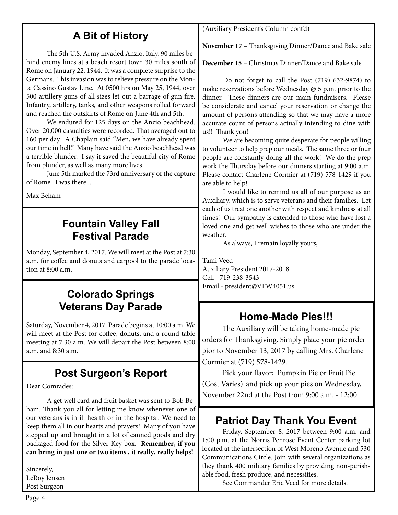#### **A Bit of History**

The 5th U.S. Army invaded Anzio, Italy, 90 miles behind enemy lines at a beach resort town 30 miles south of Rome on January 22, 1944. It was a complete surprise to the Germans. This invasion was to relieve pressure on the Monte Cassino Gustav Line. At 0500 hrs on May 25, 1944, over 500 artillery guns of all sizes let out a barrage of gun fire. Infantry, artillery, tanks, and other weapons rolled forward and reached the outskirts of Rome on June 4th and 5th.

 We endured for 125 days on the Anzio beachhead. Over 20,000 casualties were recorded. That averaged out to 160 per day. A Chaplain said "Men, we have already spent our time in hell." Many have said the Anzio beachhead was a terrible blunder. I say it saved the beautiful city of Rome from plunder, as well as many more lives.

 June 5th marked the 73rd anniversary of the capture of Rome. I was there...

Max Beham

#### **Fountain Valley Fall Festival Parade**

Monday, September 4, 2017. We will meet at the Post at 7:30 a.m. for coffee and donuts and carpool to the parade location at 8:00 a.m.

#### **Colorado Springs Veterans Day Parade**

Saturday, November 4, 2017. Parade begins at 10:00 a.m. We will meet at the Post for coffee, donuts, and a round table meeting at 7:30 a.m. We will depart the Post between 8:00 a.m. and  $8.30$  a.m.

#### **Post Surgeon's Report**

Dear Comrades:

A get well card and fruit basket was sent to Bob Beham. Thank you all for letting me know whenever one of our veterans is in ill health or in the hospital. We need to keep them all in our hearts and prayers! Many of you have stepped up and brought in a lot of canned goods and dry packaged food for the Silver Key box. **Remember, if you can bring in just one or two items , it really, really helps!**

Sincerely, LeRoy Jensen Post Surgeon

(Auxiliary President's Column cont'd)

**November 17** – Thanksgiving Dinner/Dance and Bake sale

**December 15** – Christmas Dinner/Dance and Bake sale

Do not forget to call the Post (719) 632-9874) to make reservations before Wednesday @ 5 p.m. prior to the dinner. These dinners are our main fundraisers. Please be considerate and cancel your reservation or change the amount of persons attending so that we may have a more accurate count of persons actually intending to dine with us!! Thank you!

We are becoming quite desperate for people willing to volunteer to help prep our meals. The same three or four people are constantly doing all the work! We do the prep work the Thursday before our dinners starting at 9:00 a.m. Please contact Charlene Cormier at (719) 578-1429 if you are able to help!

I would like to remind us all of our purpose as an Auxiliary, which is to serve veterans and their families. Let each of us treat one another with respect and kindness at all times! Our sympathy is extended to those who have lost a loved one and get well wishes to those who are under the weather.

As always, I remain loyally yours,

Tami Veed Auxiliary President 2017-2018 Cell - 719-238-3543 Email - president@VFW4051.us

#### **Home-Made Pies!!!**

The Auxiliary will be taking home-made pie orders for Thanksgiving. Simply place your pie order pior to November 13, 2017 by calling Mrs. Charlene Cormier at (719) 578-1429.

Pick your flavor; Pumpkin Pie or Fruit Pie (Cost Varies) and pick up your pies on Wednesday, November 22nd at the Post from 9:00 a.m. - 12:00.

#### **Patriot Day Thank You Event**

Friday, September 8, 2017 between 9:00 a.m. and 1:00 p.m. at the Norris Penrose Event Center parking lot located at the intersection of West Moreno Avenue and 530 Communications Circle. Join with several organizations as they thank 400 military families by providing non-perishable food, fresh produce, and necessities.

See Commander Eric Veed for more details.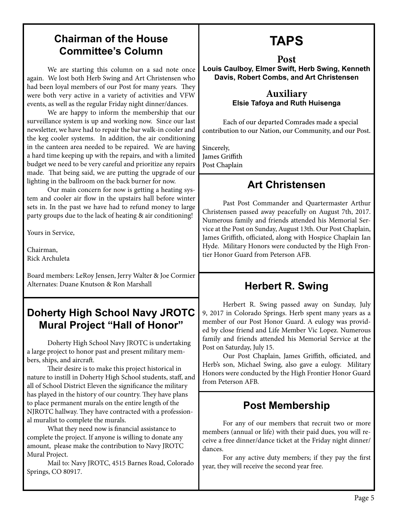#### **Chairman of the House Committee's Column**

We are starting this column on a sad note once again. We lost both Herb Swing and Art Christensen who had been loyal members of our Post for many years. They were both very active in a variety of activities and VFW events, as well as the regular Friday night dinner/dances.

 We are happy to inform the membership that our surveillance system is up and working now. Since our last newsletter, we have had to repair the bar walk-in cooler and the keg cooler systems. In addition, the air conditioning in the canteen area needed to be repaired. We are having a hard time keeping up with the repairs, and with a limited budget we need to be very careful and prioritize any repairs made. That being said, we are putting the upgrade of our lighting in the ballroom on the back burner for now.

Our main concern for now is getting a heating system and cooler air flow in the upstairs hall before winter sets in. In the past we have had to refund money to large party groups due to the lack of heating & air conditioning!

Yours in Service,

Chairman, Rick Archuleta

Board members: LeRoy Jensen, Jerry Walter & Joe Cormier Alternates: Duane Knutson & Ron Marshall

#### **Doherty High School Navy JROTC Mural Project "Hall of Honor"**

Doherty High School Navy JROTC is undertaking a large project to honor past and present military members, ships, and aircraft.

Their desire is to make this project historical in nature to instill in Doherty High School students, staff, and all of School District Eleven the significance the military has played in the history of our country. They have plans to place permanent murals on the entire length of the NJROTC hallway. They have contracted with a professional muralist to complete the murals.

What they need now is financial assistance to complete the project. If anyone is willing to donate any amount, please make the contribution to Navy JROTC Mural Project.

Mail to: Navy JROTC, 4515 Barnes Road, Colorado Springs, CO 80917.

# **TAPS**

**Post Louis Caulboy, Elmer Swift, Herb Swing, Kenneth Davis, Robert Combs, and Art Christensen**

#### **Auxiliary Elsie Tafoya and Ruth Huisenga**

Each of our departed Comrades made a special contribution to our Nation, our Community, and our Post.

Sincerely, James Griffith Post Chaplain

#### **Art Christensen**

Past Post Commander and Quartermaster Arthur Christensen passed away peacefully on August 7th, 2017. Numerous family and friends attended his Memorial Service at the Post on Sunday, August 13th. Our Post Chaplain, James Griffith, officiated, along with Hospice Chaplain Ian Hyde. Military Honors were conducted by the High Frontier Honor Guard from Peterson AFB.

#### **Herbert R. Swing**

Herbert R. Swing passed away on Sunday, July 9, 2017 in Colorado Springs. Herb spent many years as a member of our Post Honor Guard. A eulogy was provided by close friend and Life Member Vic Lopez. Numerous family and friends attended his Memorial Service at the Post on Saturday, July 15.

Our Post Chaplain, James Griffith, officiated, and Herb's son, Michael Swing, also gave a eulogy. Military Honors were conducted by the High Frontier Honor Guard from Peterson AFB.

#### **Post Membership**

For any of our members that recruit two or more members (annual or life) with their paid dues, you will receive a free dinner/dance ticket at the Friday night dinner/ dances.

For any active duty members; if they pay the first year, they will receive the second year free.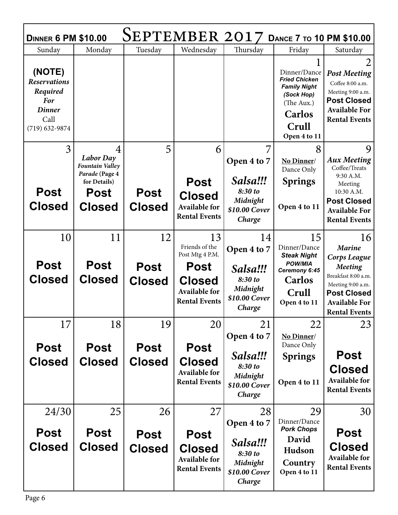| SEPTEMBER 2017<br>DANCE 7 TO 10 PM \$10.00<br><b>DINNER 6 PM \$10.00</b>                             |                                                                |                              |                                                                              |                                                            |                                                                                                                                   |                                                                                                                                         |  |  |  |
|------------------------------------------------------------------------------------------------------|----------------------------------------------------------------|------------------------------|------------------------------------------------------------------------------|------------------------------------------------------------|-----------------------------------------------------------------------------------------------------------------------------------|-----------------------------------------------------------------------------------------------------------------------------------------|--|--|--|
| Sunday                                                                                               | Monday                                                         | Tuesday                      | Wednesday                                                                    | Thursday                                                   | Friday                                                                                                                            | Saturday                                                                                                                                |  |  |  |
| (NOTE)<br><b>Reservations</b><br>Required<br><b>For</b><br><b>Dinner</b><br>Call<br>$(719)$ 632-9874 |                                                                |                              |                                                                              |                                                            | Dinner/Dance<br><b>Fried Chicken</b><br><b>Family Night</b><br>(Sock Hop)<br>(The Aux.)<br><b>Carlos</b><br>Crull<br>Open 4 to 11 | 2<br><b>Post Meeting</b><br>Coffee 8:00 a.m.<br>Meeting 9:00 a.m.<br><b>Post Closed</b><br><b>Available For</b><br><b>Rental Events</b> |  |  |  |
| 3                                                                                                    | 4                                                              | 5                            | 6                                                                            | 7                                                          | 8                                                                                                                                 | 9                                                                                                                                       |  |  |  |
|                                                                                                      | <b>Labor</b> Day<br>Fountain Valley                            |                              |                                                                              | Open 4 to 7                                                | No Dinner/                                                                                                                        | <b>Aux Meeting</b><br>Coffee/Treats                                                                                                     |  |  |  |
| <b>Post</b><br><b>Closed</b>                                                                         | Parade (Page 4<br>for Details)<br><b>Post</b><br><b>Closed</b> | <b>Post</b><br><b>Closed</b> | <b>Post</b><br><b>Closed</b><br><b>Available for</b><br><b>Rental Events</b> | Salsa!!!<br>8:30 to<br>Midnight<br>\$10.00 Cover<br>Charge | Dance Only<br><b>Springs</b><br>Open 4 to 11                                                                                      | 9:30 A.M.<br>Meeting<br>10:30 A.M.<br><b>Post Closed</b><br><b>Available For</b><br><b>Rental Events</b>                                |  |  |  |
| 10                                                                                                   | 11                                                             | 12                           | 13                                                                           | 14                                                         | 15                                                                                                                                | 16                                                                                                                                      |  |  |  |
|                                                                                                      |                                                                |                              | Friends of the<br>Post Mtg 4 P.M.                                            | Open 4 to 7                                                | Dinner/Dance<br><b>Steak Night</b>                                                                                                | <b>Marine</b><br>Corps League                                                                                                           |  |  |  |
|                                                                                                      |                                                                |                              |                                                                              |                                                            |                                                                                                                                   |                                                                                                                                         |  |  |  |
| <b>Post</b>                                                                                          | <b>Post</b>                                                    | <b>Post</b>                  | <b>Post</b>                                                                  | Salsa!!!                                                   | <b>POW/MIA</b><br>Ceremony 6:45                                                                                                   | <b>Meeting</b>                                                                                                                          |  |  |  |
| <b>Closed</b>                                                                                        | <b>Closed</b>                                                  | <b>Closed</b>                | <b>Closed</b>                                                                | 8:30 to                                                    | <b>Carlos</b>                                                                                                                     | Breakfast 8:00 a.m.<br>Meeting 9:00 a.m.                                                                                                |  |  |  |
|                                                                                                      |                                                                |                              | <b>Available for</b>                                                         | Midnight<br>\$10.00 Cover                                  | Crull                                                                                                                             | <b>Post Closed</b>                                                                                                                      |  |  |  |
|                                                                                                      |                                                                |                              | <b>Rental Events</b>                                                         | Charge                                                     | Open 4 to 11                                                                                                                      | <b>Available For</b><br><b>Rental Events</b>                                                                                            |  |  |  |
| 17                                                                                                   | 18                                                             | 19                           | 20                                                                           | 21                                                         | 22                                                                                                                                | 23                                                                                                                                      |  |  |  |
|                                                                                                      |                                                                |                              |                                                                              | Open 4 to 7                                                | No Dinner/                                                                                                                        |                                                                                                                                         |  |  |  |
| <b>Post</b>                                                                                          | <b>Post</b>                                                    | <b>Post</b>                  | <b>Post</b>                                                                  |                                                            | Dance Only                                                                                                                        |                                                                                                                                         |  |  |  |
| <b>Closed</b>                                                                                        | <b>Closed</b>                                                  | <b>Closed</b>                | <b>Closed</b>                                                                | Salsa!!!<br>8:30 to                                        | <b>Springs</b>                                                                                                                    | <b>Post</b>                                                                                                                             |  |  |  |
|                                                                                                      |                                                                |                              | <b>Available for</b>                                                         | Midnight                                                   |                                                                                                                                   | <b>Closed</b><br><b>Available for</b>                                                                                                   |  |  |  |
|                                                                                                      |                                                                |                              | <b>Rental Events</b>                                                         | \$10.00 Cover<br>Charge                                    | Open 4 to 11                                                                                                                      | <b>Rental Events</b>                                                                                                                    |  |  |  |
| 24/30                                                                                                | 25                                                             | 26                           | 27                                                                           | 28                                                         | 29                                                                                                                                | 30                                                                                                                                      |  |  |  |
|                                                                                                      |                                                                |                              |                                                                              | Open 4 to 7                                                | Dinner/Dance<br><b>Pork Chops</b>                                                                                                 |                                                                                                                                         |  |  |  |
| <b>Post</b>                                                                                          | Post                                                           | <b>Post</b>                  | <b>Post</b>                                                                  | Salsa!!!                                                   | David                                                                                                                             | <b>Post</b>                                                                                                                             |  |  |  |
| <b>Closed</b>                                                                                        | <b>Closed</b>                                                  | <b>Closed</b>                | <b>Closed</b>                                                                | 8:30 to                                                    | Hudson                                                                                                                            | <b>Closed</b><br><b>Available for</b>                                                                                                   |  |  |  |
|                                                                                                      |                                                                |                              | <b>Available for</b><br><b>Rental Events</b>                                 | Midnight<br>\$10.00 Cover                                  | Country<br>Open 4 to 11                                                                                                           | <b>Rental Events</b>                                                                                                                    |  |  |  |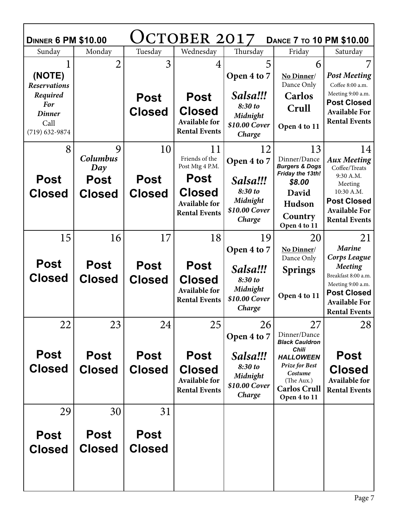| JCTOBER 2017<br><b>DINNER 6 PM \$10.00</b><br><b>DANCE 7 TO 10 PM \$10.00</b> |                              |                              |                                                                              |                                                            |                                                                                       |                                                                                             |  |  |
|-------------------------------------------------------------------------------|------------------------------|------------------------------|------------------------------------------------------------------------------|------------------------------------------------------------|---------------------------------------------------------------------------------------|---------------------------------------------------------------------------------------------|--|--|
| Sunday                                                                        | Monday                       | Tuesday                      | Wednesday                                                                    | Thursday                                                   | Friday                                                                                | Saturday                                                                                    |  |  |
| (NOTE)<br><b>Reservations</b>                                                 | $\overline{2}$               | 3                            | 4                                                                            | 5<br>Open 4 to 7                                           | 6<br>No Dinner/<br>Dance Only                                                         | 7<br><b>Post Meeting</b><br>Coffee 8:00 a.m.                                                |  |  |
| Required<br><b>For</b><br><b>Dinner</b><br>Call<br>$(719) 632 - 9874$         |                              | <b>Post</b><br><b>Closed</b> | <b>Post</b><br><b>Closed</b><br><b>Available for</b><br><b>Rental Events</b> | Salsa!!!<br>8:30 to<br>Midnight<br>\$10.00 Cover<br>Charge | <b>Carlos</b><br>Crull<br>Open 4 to 11                                                | Meeting 9:00 a.m.<br><b>Post Closed</b><br><b>Available For</b><br><b>Rental Events</b>     |  |  |
| 8                                                                             | 9<br>Columbus<br>Day         | 10                           | 11<br>Friends of the<br>Post Mtg 4 P.M.                                      | 12<br>Open 4 to 7                                          | 13<br>Dinner/Dance<br><b>Burgers &amp; Dogs</b><br>Friday the 13th!                   | 14<br><b>Aux Meeting</b><br>Coffee/Treats<br>9:30 A.M.                                      |  |  |
| <b>Post</b><br><b>Closed</b>                                                  | <b>Post</b><br><b>Closed</b> | <b>Post</b><br><b>Closed</b> | <b>Post</b><br><b>Closed</b><br><b>Available for</b><br><b>Rental Events</b> | Salsa!!!<br>8:30 to<br>Midnight<br>\$10.00 Cover<br>Charge | \$8.00<br>David<br>Hudson<br>Country<br>Open 4 to 11                                  | Meeting<br>10:30 A.M.<br><b>Post Closed</b><br><b>Available For</b><br><b>Rental Events</b> |  |  |
| 15                                                                            | 16                           | 17                           | 18                                                                           | 19<br>Open 4 to 7                                          | 20<br>No Dinner/                                                                      | 21<br><b>Marine</b>                                                                         |  |  |
| <b>Post</b>                                                                   | <b>Post</b>                  | <b>Post</b>                  | <b>Post</b>                                                                  |                                                            | Dance Only                                                                            | Corps League<br><b>Meeting</b>                                                              |  |  |
| <b>Closed</b>                                                                 |                              |                              |                                                                              | Salsa!!!                                                   | <b>Springs</b>                                                                        |                                                                                             |  |  |
|                                                                               |                              |                              |                                                                              |                                                            |                                                                                       | Breakfast 8:00 a.m.                                                                         |  |  |
|                                                                               | <b>Closed</b>                | <b>Closed</b>                | <b>Closed</b><br><b>Available for</b><br><b>Rental Events</b>                | 8:30 to<br>Midnight<br>\$10.00 Cover<br>Charge             | Open 4 to 11                                                                          | Meeting 9:00 a.m.<br><b>Post Closed</b><br><b>Available For</b><br><b>Rental Events</b>     |  |  |
| 22                                                                            | 23                           | 24                           | 25                                                                           | 26                                                         | 27                                                                                    | 28                                                                                          |  |  |
|                                                                               |                              |                              |                                                                              | Open 4 to 7                                                | Dinner/Dance<br><b>Black Cauldron</b>                                                 |                                                                                             |  |  |
| <b>Post</b>                                                                   | <b>Post</b>                  | <b>Post</b>                  | <b>Post</b>                                                                  | Salsa!!!                                                   | <b>Chili</b><br><b>HALLOWEEN</b>                                                      | <b>Post</b>                                                                                 |  |  |
| <b>Closed</b>                                                                 | <b>Closed</b>                | <b>Closed</b>                | <b>Closed</b><br>Available for<br><b>Rental Events</b>                       | 8:30 to<br>Midnight<br>\$10.00 Cover<br>Charge             | <b>Prize for Best</b><br>Costume<br>(The Aux.)<br><b>Carlos Crull</b><br>Open 4 to 11 | <b>Closed</b><br><b>Available for</b><br><b>Rental Events</b>                               |  |  |
| 29                                                                            | 30                           | 31                           |                                                                              |                                                            |                                                                                       |                                                                                             |  |  |